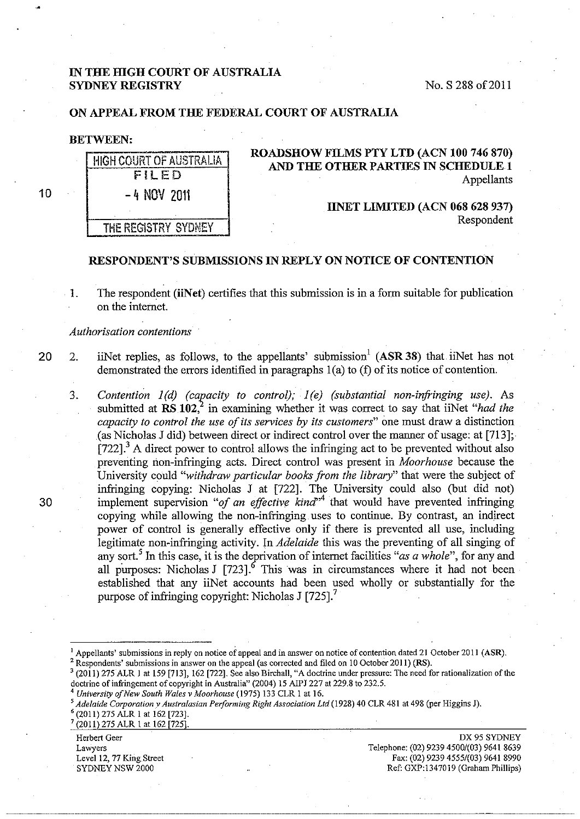## IN THE HIGH COURT OF AUSTRALIA SYDNEY REGISTRY NO. S 288 of 2011

## ON APPEAL FROM THE FEDERAL COURT OF AUSTRALIA

#### BETWEEN:

| HIGH COURT OF AUSTRALIA<br>FILED | ROADSHOW FILMS PTY LTD (ACN 100 746 870)<br>AND THE OTHER PARTIES IN SCHEDULE 1<br>Appellants |
|----------------------------------|-----------------------------------------------------------------------------------------------|
| $-4$ NOV 2011                    | <b>IINET LIMITED (ACN 068 628 937)</b>                                                        |
| THE REGISTRY SYDNEY              | Respondent                                                                                    |

#### RESPONDENT'S SUBMISSIONS IN REPLY ON NOTICE OF CONTENTION

1. The respondent (iiNet) certifies that this submission is in a form suitable for publication on the internet.

*Authorisation contentions* 

20 2. iiNet replies, as follows, to the appellants' submission<sup>1</sup> (ASR 38) that iiNet has not demonstrated the errors identified in paragraphs  $1(a)$  to  $(f)$  of its notice of contention.

3. *Contention 1(d) (capacity to control); 1(e) (substantial non-infringing use)*. As submitted at RS 102<sup>2</sup>, in examining whether it was correct to say that iiNet *"had the capacity to control the use of its services by its customers"* one must draw a distinction (as Nicholas J did) between direct or indirect control over the manner of usage: at [713];  $[722]$ .<sup>3</sup> A direct power to control allows the infringing act to be prevented without also preventing non-infringing acts. Direct control was present in *Moorhouse* because the University could *"withdraw particular books from the library"* that were the subject of infringing copying: Nicholas J at [722]. The University could also (but did not) implement supervision "of an effective kind"<sup>4</sup> that would have prevented infringing copying while allowing the non-infringing uses to continue. By contrast, an indirect power of control is generally effective only if there is prevented all use, including legitimate non-infringing activity. In *Adelaide* this was the preventing of all singing of any sort.<sup>5</sup> In this case, it is the deprivation of internet facilities "*as a whole*", for any and all purposes: Nicholas J  $[723]$ . This was in circumstances where it had not been established that any iiNet accounts had been used wholly or substantially for the purpose of infringing copyright: Nicholas J [725].<sup>7</sup>

Herbert Geer Lawyers Level 12, 77 King Street SYDNEY NSW 2000

DX95 SYDNEY Telephone: (02) 9239 4500/(03) 9641 8639 Fax: (02) 9239 4555/(03) 9641 8990 Ref: GXP:1347019 (Graham Phillips)

30

10

<sup>&</sup>lt;sup>1</sup> Appellants' submissions in reply on notice of appeal and in answer on notice of contention dated 21 October 2011 (ASR). <sup>2</sup> Respondents' submissions in answer on the appeal (as corrected and filed on 10 October 2011) (

<sup>(2011) 275</sup> ALR 1 at 159 [713], 162 [722]. See also Birchall, "A doctrine under pressure: The need for rationalization of the

doctrine of infringement of copyright in Australia" (2004) 15 AIPJ 227 at 229.8 to 232.5.<br>
<sup>4</sup> University of New South Wales v Moorhouse (1975) 133 CLR 1 at 16.<br>
<sup>5</sup> Adelaide Corporation v Australasian Performing Right Ass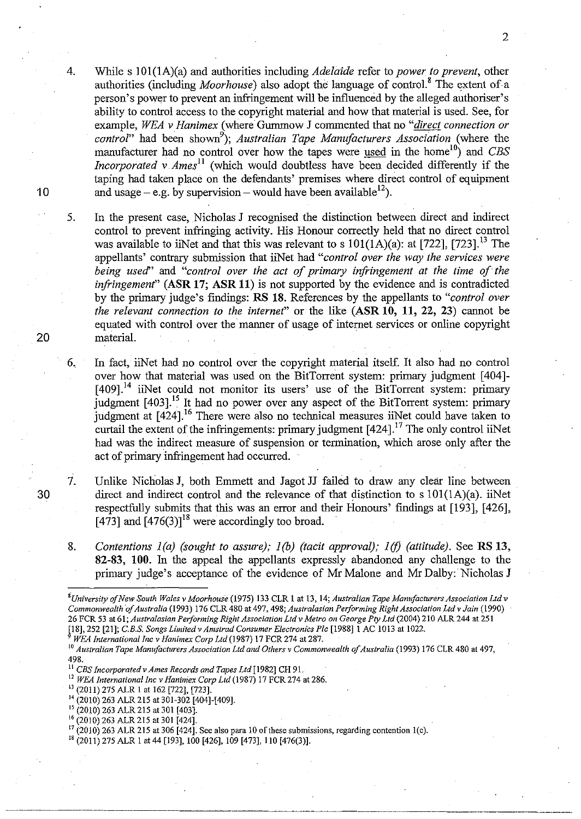While s 101(1A)(a) and authorities including *Adelaide* refer to *power to prevent*, other authorities (including *Moorhouse)* also adopt the language of contro1.8 The extent of a person's power to prevent an infringement will be influenced by the alleged authoriser's ability to control access to the copyright material and how that material is used. See, for example, *WEA v Hanimex* (where Gummow J commented that no *"direct connection or*  control" had been shown<sup>9</sup>); *Australian Tape Manufacturers Association* (where the manufacturer had no control over how the tapes were used in the home<sup>10</sup>) and *CBS Incorporated v Ames*<sup>11</sup> (which would doubtless have been decided differently if the taping had taken place on the defendants' premises where direct control of equipment and usage – e.g. by supervision – would have been available<sup>12</sup>).

5. In the present case, Nicholas J recognised the distinction between direct and indirect control to prevent infringing activity. His Honour correctly held that no direct control was available to iiNet and that this was relevant to s  $101(1A)(a)$ : at [722], [723].<sup>13</sup> The appellants' contrary submission that iiNet had *"control over the way the services were being used'* and *"control over the act of primary infringement at the time of the infringement"* **(ASR 17; ASR 11)** is not supported by the evidence and is contradicted by the primary judge's findings: **RS 18.** References by the appellants to *"control over the relevant connection to the internef'* or the like **(ASR 10, 11,** 22, 23) cannot be equated with control over the manner of usage of internet services or online copyright material.

6.. In fact, iiNet had no control over the copyright material itself. It also had no control over how that material was used on the BitTorrent system: primary judgment [404]-  $[409]$ .<sup>14</sup> iiNet could not monitor its users' use of the BitTorrent system: primary judgment [403].<sup>15</sup> It had no power over any aspect of the BitTorrent system: primary judgment at [424].<sup>16</sup> There were also no technical measures iiNet could have taken to curtail the extent of the infringements: primary judgment  $[424]$ .<sup>17</sup> The only control iiNet had was the indirect measure of suspension or termination, which arose only after the act of primary infringement had occurred.

- 7. Unlike Nicholas J, both Emmett and Jagot JJ failed to draw any clear line between direct and indirect control and the relevance of that distinction to  $s 101(1A)(a)$ . iiNet respectfully submits that this was an error and their Honours' findings at [193], [426], [473] and  $[476(3)]^{18}$  were accordingly too broad.
- 8. *Contentions 1(a) (sought to assure); 1(b) (tacit approval); 1(f) (attitude).* See **RS 13**, **82-83, 100.** In the appeal the appellants expressly abandoned any challenge to the primary judge's acceptance of the evidence of Mr Malone and Mr Dalby: Nicholas J

~-·---------- --- -------------~·---------

10

4.

20

30

 $\overline{2}$ 

*<sup>8</sup>University of New South Wales* **v** *Moorhouse* **(1975) 133 CLR 1 at 13, 14;** *Australian Tape Manufacturers Association Ltdv Commonwealth 4 Australia* (1993) 176 CLR 480 at 497, 498; *Australasian Performing Right Association Ltd v Jain* (1990) 26 FCR 53 at 61; *Australasian Performing Right Association Ltdv Metro on George Pty Ltd* (2004) 210 ALR 244 at 251

<sup>&</sup>lt;sup>9</sup> WEA International Inc v Hanimex Corp Ltd (1987) 17 FCR 274 at 287.<br><sup>10</sup> Australian Tape Manufacturers Association Ltd and Others v Commonwealth of Australia (1993) 176 CLR 480 at 497, 498.<br><sup>11</sup> CBS Incorporated v Ames Records and Tapes Ltd [1982] CH 91.

<sup>&</sup>lt;sup>12</sup> WEA International Inc v Hanimex Corp Ltd (1987) 17 FCR 274 at 286.<br><sup>13</sup> (2011) 275 ALR 1 at 162 [722], [723].<br><sup>14</sup> (2010) 263 ALR 215 at 301-302 [404]-[409].<br><sup>16</sup> (2010) 263 ALR 215 at 301 [424].<br><sup>16</sup> (2010) 263 ALR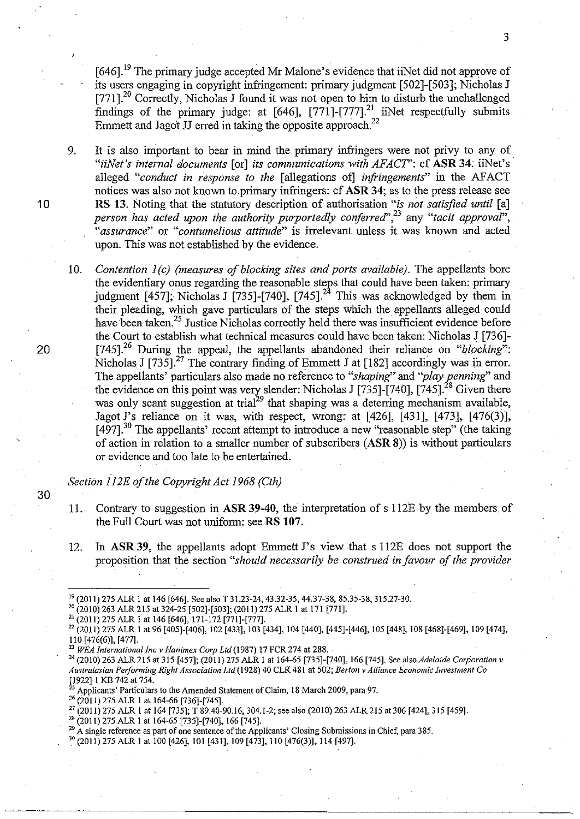[646].<sup>19</sup> The primary judge accepted Mr Malone's evidence that iiNet did not approve of its users engaging in copyright infringement: primary judgment [502]-[503]; Nicholas J It's users engaging in copyright nurmigement. primary judgment [502]-[505], inchoras J<br>[771].<sup>20</sup> Correctly, Nicholas J found it was not open to him to disturb the unchallenged findings of the primary judge: at  $[646]$ ,  $[771]$ - $[777]$ <sup>21</sup> iiNet respectfully submits Emmett and Jagot JJ erred in taking the opposite approach.<sup>22</sup>

9. It is also important to bear in mind the primary infringers were not privy to any of *"iiNet's internal documents* [or] *its communications with AFACT':* cf **ASR 34;** iiNet's alleged "conduct in response to the lallegations of *infringements*" in the AFACT notices was also not known to primary infringers: cf **ASR 34;** as to the press release see **10 RS 13.** Noting that the statutory description of authorisation *"is not satisfied until* [a] *person has acted upon the authority purportedly conferred*<sup>", 23</sup> any "tacit approval", *"assurance"* or *"contumelious attitude"* is irrelevant unless it was known and acted upon. This was not established by the evidence.

10. *Contention J(c) (measures of blocking sites and ports available).* The appellants bore the evidentiary onus regarding the reasonable steps that could have been taken: primary judgment  $[457]$ ; Nicholas J  $[735]$ - $[740]$ ,  $[745]$ .<sup>24</sup> This was acknowledged by them in their pleading, which gave particulars of the steps which the appellants alleged could have been taken.<sup>25</sup> Justice Nicholas correctly held there was insufficient evidence before the Court to establish what technical measures could have been taken: Nicholas J [736]- 20 [745].26 During the appeal, the appellants abandoned their reliance on *"blocking':*  Nicholas J  $[735]$ .<sup>27</sup> The contrary finding of Emmett J at [182] accordingly was in error. The appellants' particulars also made no reference to "shaping" and "play-penning" and the evidence on this point was very slender: Nicholas J [735]-[740], [745].<sup>28</sup> Given there was only scant suggestion at trial<sup>29</sup> that shaping was a deterring mechanism available, Jagot J's reliance on it was, with respect, wrong: at  $[426]$ ,  $[431]$ ,  $[473]$ ,  $[476(3)]$ ,  $[497]$ <sup>30</sup> The appellants' recent attempt to introduce a new "reasonable step" (the taking of action in relation to a smaller number of subscribers **(ASR 8))** is without particulars or evidence and too late to be entertained.

*Section 112E of the Copyright Act 1968 (Cth)* 

- 30
- 11. Contrary to suggestion in **ASR 39-40,** the interpretation of s 112E by the members of the Full Court was not uniform: seeRS **107.**
- 12. In **ASR39,** the appellants adopt Emmett J's view that s 112E does not support the proposition that the section *"should necessarily be construed in favour of the provider*

3

<sup>&</sup>lt;sup>19</sup> (2011) 275 ALR 1 at 146 [646]. See also T 31.23-24, 43.32-35, 44.37-38, 85.35-38, 315.27-30.<br><sup>20</sup> (2010) 263 ALR 215 at 324-25 [502]-[503]; (2011) 275 ALR 1 at 171 [771].<br><sup>21</sup> (2011) 275 ALR 1 at 146 [646], 171-172 [ 110 [476(6)], [477].<br><sup>23</sup> WEA International Inc v Hanimex Corp Ltd (1987) 17 FCR 274 at 288.<br><sup>24</sup> (2010) 263 ALR 215 at 315 [457]; (2011) 275 ALR 1 at 164-65 [735]-[740], 166 [745]. See also *Adelaide Corporation* v

*Australasian Performing Right Association Ltd* **(1928) 40 CLR 481 at 502;** *Berton v Alliance Economic Investment Co* 

<sup>&</sup>lt;sup>25</sup> Applicants' Particulars to the Amended Statement of Claim, 18 March 2009, para 97.<br><sup>26</sup> (2011) 275 ALR 1 at 164-66 [736]-[745].<br><sup>27</sup> (2011) 275 ALR 1 at 164 [735]; T 89.40-90.16, 304.1-2; see also (2010) 263 ALR 215

<sup>30 (2011) 275</sup> ALR 1 at 100 [426], 101 [431], 109 [473], 110 [476(3)], 114 [497].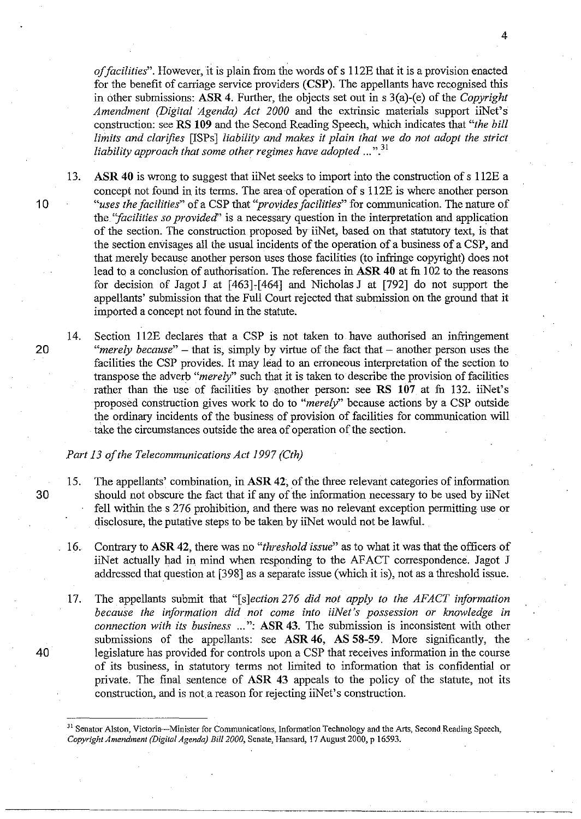*of facilities".* However, it is plain from the words of s 112E that it is a provision enacted for the benefit of carriage service providers **(CSP).** The appellants have recognised this in other submissions: **ASR 4.** Further, the objects set out in s 3(a)-(e) of the *Copyright Amendment (Digital Agenda) Act 2000* and the extrinsic materials support iiNet's construction: seeRS **109** and the Second Reading Speech, which indicates that *"the bill limits and clarifies* [ISPs] *liability and makes it plain that we do not adopt the strict liability approach that some other regimes have adopted ...* ".<sup>31</sup>

13. **ASR 40** is wrong to suggest that iiNet seeks to import into the construction of s 112E a concept not found in its terms. The area of operation of s 112E is where another person **1** 0 *"uses the facilities"* of a CSP that *''provides facilities"* for communication. The nature of the *''facilities so provided''* is a necessary question in the interpretation and application of the section. The construction proposed by iiNet, based on that statutory text, is that the section envisages all the usual incidents of the operation of a business of a CSP, and that merely because another person uses those facilities (to infringe copyright) does not lead to a conclusion of authorisation. The references in **ASR 40** at fu 1 02 to the reasons for decision of Jagot J at  $[463]$ - $[464]$  and Nicholas J at  $[792]$  do not support the appellants' submission that the Full Court rejected that submission on the ground that it imported a concept not found in the statute.

14. Section 112E declares that a CSP is not taken to have authorised an infringement 20 *"merely because*" – that is, simply by virtue of the fact that – another person uses the facilities the CSP provides. It may lead to an erroneous interpretation of the section to transpose the adverb "*merely*" such that it is taken to describe the provision of facilities rather than the use of facilities by another person: see **RS 107** at fu 132. iiNet's proposed construction gives work to do to *"merely"* because actions by a CSP outside the ordinary incidents of the business of provision of facilities for communication will take the circumstances outside the area of operation of the section.

### *Part 13 of the Telecommunications Act 1997 (Cth)*

- 15. The appellants' combination, in **ASR 42;** of the three relevant categories of information 30 should not obscure the fact that if any of the information necessary to be used by iiNet fell within the s 276 prohibition, and there was no relevant exception permitting use or disclosure, the putative steps to be taken by iiNet would not be lawful.
	- 16. Contrary to **ASR 42,** there was no *"threshold issue''* as to what it was that the officers of iiNet actually had in mind when responding to the AFACT correspondence. Jagot J addressed that question at [398] as a separate issue (which it is), not as a threshold issue.
- 17. The appellants submit that *"[s]ection 276 did not apply to the AFACT information because the information did not come into iiNet's possession or knowledge in connection with its business* ... ": **ASR 43.** The submission is inconsistent with other submissions of the appellants: see **ASR 46, AS 58-59.** More significantly, the 40 legislature has provided for controls upon a CSP that receives information in the course of its business, in statutory terms not limited to information that is confidential or private. The final sentence of **ASR 43** appeals to the policy of the statute, not its construction, and is not.a reason for rejecting iiNet's construction.

<sup>&</sup>lt;sup>31</sup> Senator Alston, Victoria---Minister for Communications, Information Technology and the Arts, Second Reading Speech, *Copyright Amendment (Digital Agenda) Bill 2000,* Senate, Hansard, 17 August 2000, p 16593.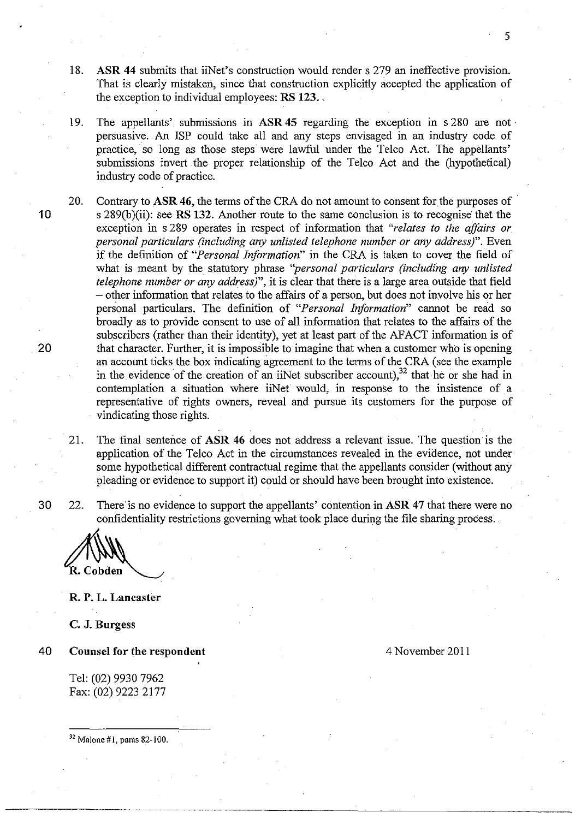- 18. **ASR 44** submits that iiNet's construction would renders 279 an ineffective provision. That is clearly mistaken, since that construction explicitly accepted the application of the exception to individual employees: **RS** 123 ..
- 19. The appellants' submissions in **ASR 45** regarding the exception in s 280 are not · persuasive. An ISP could take all and any steps envisaged in an industry code of practice, so long as those steps were lawful under the Telco Act. The appellants' submissions invert the proper relationship of the Telco Act and the (hypothetical) industry code of practice.
- 20. Contrary to ASR 46, the terms of the CRA do not amount to consent for the purposes of 10 s 289(b )(ii): see **RS 132.** Another route to the same conclusion is to recognise that the exception in s 289 operates in respect of information that *"relates to the affairs or personal particulars (including any unlisted telephone number or any address)".* Even if the definition of *"Personal Information"* in the CRA is taken to cover the field of what is meant by the statutory phrase "personal particulars (including any unlisted *telephone number or any address)",* it is clear that there is a large area outside that field -other information that relates to the affairs of a person, but does not involve his or her personal particulars. The definition of *"Personal Information"* cannot be read so broadly as to provide consent to use of all information that relates to the affairs of the subscribers (rather than their identity), yet at least part of the AFACT information is of 20 that character. Further, it is impossible to imagine that when a customer who is opening an account ticks the box indicating agreement to the terms of the CRA (see the example in the evidence of the creation of an iiNet subscriber account),  $^{32}$  that he or she had in contemplation a situation where iiNet would, in response to the insistence of a representative of rights owners, reveal and pursue its customers for the purpose of vindicating those rights.
	- 21. The final sentence of ASR 46 does not address a relevant issue. The question is the application of the Telco Act in the circumstances revealed in the evidence, not under some hypothetical different contractual regime that the appellants consider (without any pleading or evidence to support it) could or should have been brought into existence.

30 22. There'is no evidence to support the appellants' contention in **ASR 47** that there were no confidentiality restrictions governing what took place during the file sharing process.

R. Cobden

**R. P. L. Lancaster** 

**C. J. Burgess** 

40 **Counsel for the respondent** 

Tel: (02) 9930 7962 Fax: (02) 9223 2177 4 November 2011

 $32$  Malone #1, paras 82-100.

5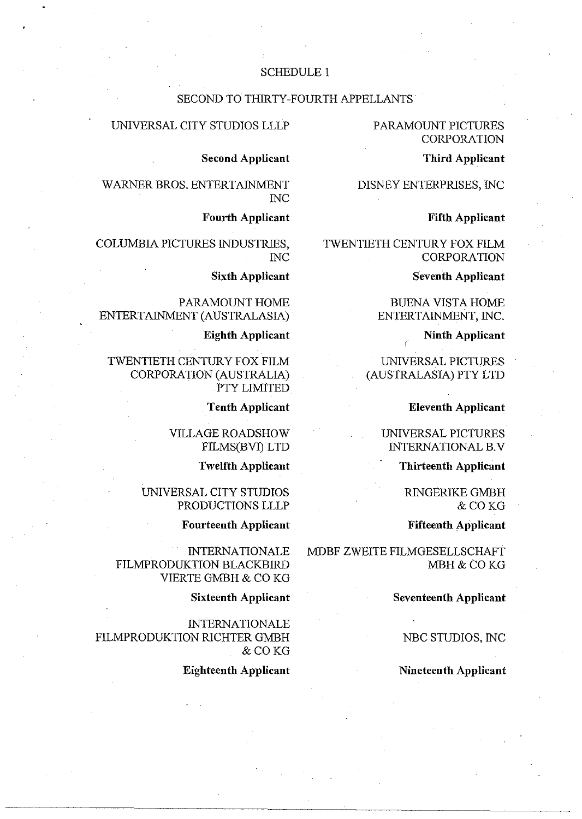# SCHEDULE 1

#### SECOND TO THIRTY-FOURTH APPELLANTS

### PARAMOUNT PICTURES CORPORATION

#### **Third Applicant**

DISNEY ENTERPRISES, INC

#### **Fifth Applicant**

TWENTIETH CENTURY FOX FILM CORPORATION

**Seventh Applicant** 

BUENA VISTA HOME ENTERTAINMENT, INC.

**Ninth Applicant** 

UNIVERSAL PICTURES (AUSTRALASIA) PTY LTD

**Eleventh Applicant** 

UNIVERSAL PICTURES INTERNATIONAL B.V

**Thirteenth Applicant** 

RINGERIKE GMBH &COKG

**Fifteenth Applicant** 

MDBF ZWEITE FILMGESELLSCHAFT MBH&COKG

**Seventeenth Applicant** 

NBC STUDIOS, INC

**Nineteenth Applicant** 

# UNIVERSAL CITY STUDIOS LLLP

**Second Applicant** 

WARNER BROS. ENTERTAINMENT INC

**Fourth Applicant** 

COLUMBIA PICTURES INDUSTRIES, INC

**Sixth Applicant** 

PARAMOUNT HOME ENTERTAINMENT (AUSTRALASIA)

**Eighth Applicant** 

TWENTIETH CENTURY FOX FILM CORPORATION (AUSTRALIA) . PTY LIMITED

**Tenth Applicant** 

VILLAGE ROADSHOW FILMS(BVI) LTD

**Twelfth Applicant** 

UNIVERSAL CITY STUDIOS PRODUCTIONS LLLP

**Fourteenth Applicant** 

**INTERNATIONALE** FILMPRODUKTION BLACKBIRD VIERTE GMBH & CO KG

**Sixteenth Applicant** 

**INTERNATIONALE** FILMPRODUKTION RICHTER GMBH &COKG

**Eighteenth Applicant**